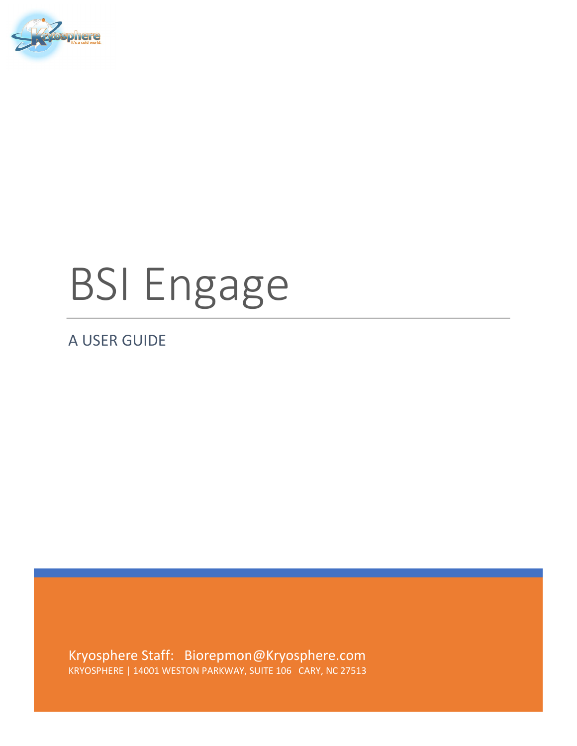

# BSI Engage

A USER GUIDE

Kryosphere Staff: Biorepmon@Kryosphere.com KRYOSPHERE | 14001 WESTON PARKWAY, SUITE 106 CARY, NC 27513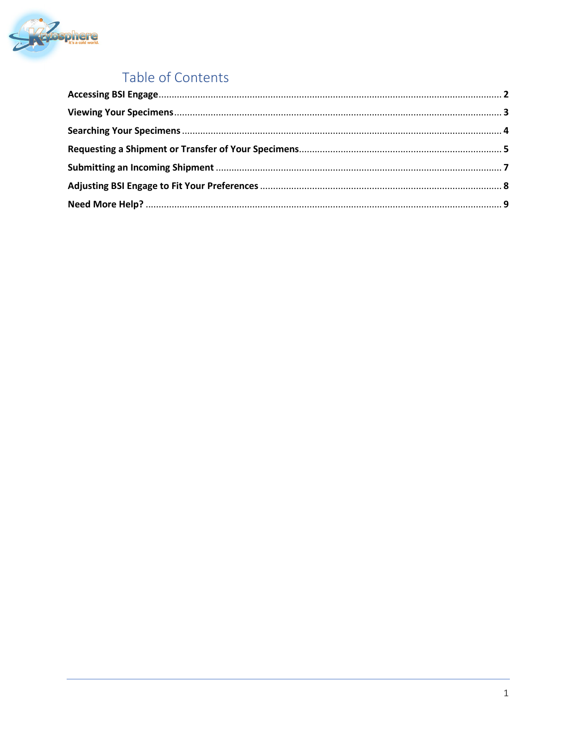

## Table of Contents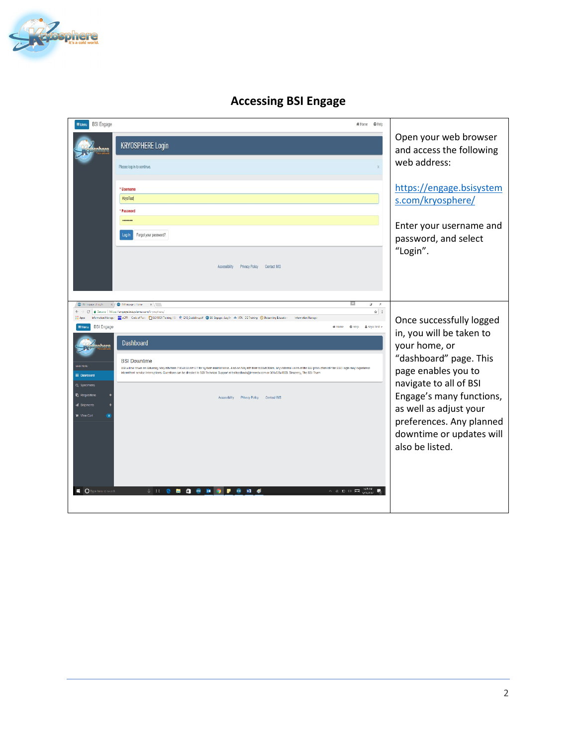

| <b>BSI Engage</b><br>$\equiv$ Menu                                                                                                                                                                                                                                                                                                                                                                                           | # Home @ Help                                                                                     |
|------------------------------------------------------------------------------------------------------------------------------------------------------------------------------------------------------------------------------------------------------------------------------------------------------------------------------------------------------------------------------------------------------------------------------|---------------------------------------------------------------------------------------------------|
| <b>KRYOSPHERE Login</b>                                                                                                                                                                                                                                                                                                                                                                                                      | Open your web browser<br>and access the following                                                 |
| Please log in to continue.                                                                                                                                                                                                                                                                                                                                                                                                   | web address:                                                                                      |
| * Username<br>KryoTest<br>* Password<br><br>Forgot your password?<br>Log In                                                                                                                                                                                                                                                                                                                                                  | https://engage.bsisystem<br>s.com/kryosphere/<br>Enter your username and<br>password, and select  |
| Accessibility<br>Privacy Policy Contact IMS                                                                                                                                                                                                                                                                                                                                                                                  | "Login".                                                                                          |
| $\times$ / $\times$ ISH in paper Home.<br>S2 ISI Images fog in<br>$x \cup$                                                                                                                                                                                                                                                                                                                                                   | $\mathbf{u}$<br>$\mathbf{x}$                                                                      |
| C B Secure   https://engage.bsisystem.com/kryosphere/<br>$\leftarrow$ $\rightarrow$<br>Information Manager   图 eCFR   Code of Fede   11   150 9001 Training   ISI   文 G10_Guideline.pcf   @ ISI Engage:: Log. In   whe IATA DG Training   @ Biobanting Educatio<br>Information Manage                                                                                                                                        | $\frac{1}{N}$ i<br>Once successfully logged                                                       |
| <b>BSI Engage</b><br><b>Dashboard</b>                                                                                                                                                                                                                                                                                                                                                                                        | @ Help & Kryo Test +<br># Home<br>in, you will be taken to<br>your home, or                       |
| <b>BSI</b> Downtime<br><b>ANN MEN</b><br>BSI will be down on Saturday, May 6th from 7:00-8:30 am ET for system maintenance. Also on May 6th from 5:30-8:30am, any external users of the BSI production IdP for SSO login may experience<br>Intermittent service Interruptions. Questions can be directed to BSI Technical Support at bsiteedback@imsweb.com or 301-628-1BSI. Sincerely, The BSI Team<br><b>III</b> Dashboard | "dashboard" page. This<br>page enables you to                                                     |
| Q Specimens                                                                                                                                                                                                                                                                                                                                                                                                                  | navigate to all of BSI                                                                            |
| <b>Requisitions</b><br>Accessibility Privacy Policy Contact IMS<br><b>d</b> Shipments                                                                                                                                                                                                                                                                                                                                        | Engage's many functions,                                                                          |
| <b>In Mew Cart</b>                                                                                                                                                                                                                                                                                                                                                                                                           | as well as adjust your<br>preferences. Any planned<br>downtime or updates will<br>also be listed. |
| $\blacksquare$ $\blacksquare$ Type here to search<br>$0 \text{ } 11 \text{ } 20$<br>٠<br><b>DE 19</b><br>ы                                                                                                                                                                                                                                                                                                                   | $\wedge$ & $\mathbf{E}$ ( $\emptyset$ $\Box$ )                                                    |

#### **Accessing BSI Engage**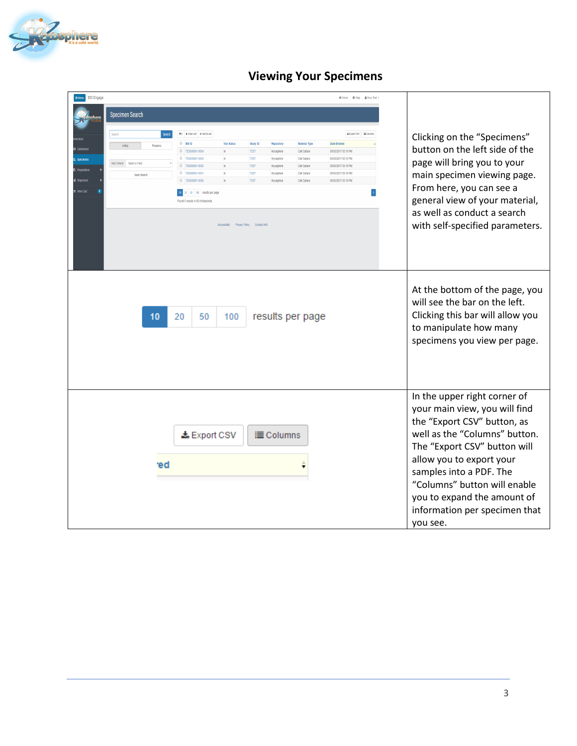

## **Viewing Your Specimens**

| Menu BSI Engage                    |                             |                               |                                          |             |                  |                                |                          |  |                                                                                                                                                                                                                                                                                                                                  |  |  |
|------------------------------------|-----------------------------|-------------------------------|------------------------------------------|-------------|------------------|--------------------------------|--------------------------|--|----------------------------------------------------------------------------------------------------------------------------------------------------------------------------------------------------------------------------------------------------------------------------------------------------------------------------------|--|--|
|                                    | <b>Specimen Search</b>      |                               |                                          |             |                  |                                |                          |  |                                                                                                                                                                                                                                                                                                                                  |  |  |
|                                    | Search                      | me o x Clearcat v Add to cat  |                                          |             |                  |                                | ▲ Export CSV   ■ Columns |  |                                                                                                                                                                                                                                                                                                                                  |  |  |
|                                    |                             | <b>BSID</b>                   | <b>Vial Status</b>                       | Study ID    | Repository       | <b>Material Type</b>           | Date Entered             |  | Clicking on the "Specimens"                                                                                                                                                                                                                                                                                                      |  |  |
|                                    | Listing<br>Frequenci        | E TES000001 0004              | $\ln$                                    | <b>TEST</b> | Kryosphere       | Cell Culture                   | 05/03/2017 03:19 PM      |  | button on the left side of the                                                                                                                                                                                                                                                                                                   |  |  |
| Specimens                          |                             | TES000001 0003                |                                          | TEST        | Kryosphere       | Cell Culture                   | 05/03/2017 03:19 PM      |  |                                                                                                                                                                                                                                                                                                                                  |  |  |
| Remistion                          | Add Criteria Select a Field | TES000001 0002                |                                          | TEST        | Kryosphere       | Cell Culture                   | 05/03/2017 03:19 PM      |  | page will bring you to your                                                                                                                                                                                                                                                                                                      |  |  |
|                                    | Save Search                 | TES000001 0001                |                                          | TEST        | Kryosphere       | Cell Culture                   | 05/03/2017 03:19 PM      |  | main specimen viewing page.                                                                                                                                                                                                                                                                                                      |  |  |
|                                    |                             | E TES000001 0005              |                                          | TEST        | Kryosphere       | Cell Culture                   | 05/03/2017 03:19 PM      |  |                                                                                                                                                                                                                                                                                                                                  |  |  |
| View Cart                          |                             | 10 20 50 100 results per page |                                          |             |                  |                                |                          |  | From here, you can see a                                                                                                                                                                                                                                                                                                         |  |  |
| Found 5 results in 62 milliseconds |                             |                               |                                          |             |                  | general view of your material, |                          |  |                                                                                                                                                                                                                                                                                                                                  |  |  |
|                                    |                             |                               | Accessibility Privacy Policy Contact IMS |             |                  |                                |                          |  | as well as conduct a search<br>with self-specified parameters.                                                                                                                                                                                                                                                                   |  |  |
|                                    | 10                          | 20<br>50                      | 100                                      |             |                  | results per page               |                          |  | At the bottom of the page, you<br>will see the bar on the left.<br>Clicking this bar will allow you<br>to manipulate how many<br>specimens you view per page.                                                                                                                                                                    |  |  |
|                                    | ed.                         | <b>上</b> Export CSV           |                                          |             | <b>E</b> Columns |                                |                          |  | In the upper right corner of<br>your main view, you will find<br>the "Export CSV" button, as<br>well as the "Columns" button.<br>The "Export CSV" button will<br>allow you to export your<br>samples into a PDF. The<br>"Columns" button will enable<br>you to expand the amount of<br>information per specimen that<br>you see. |  |  |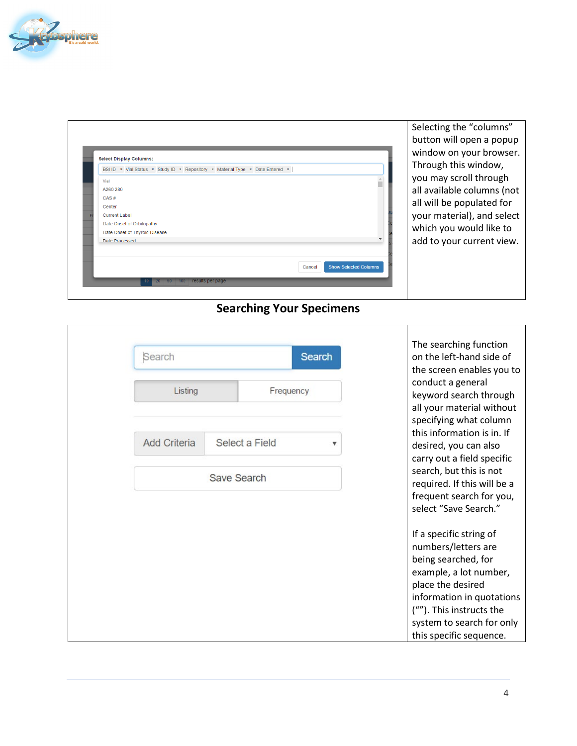

| <b>Select Display Columns:</b>                                                                                                                                                                                                                                                                           | Selecting the "columns"<br>button will open a popup<br>window on your browser.                                                                                                                  |
|----------------------------------------------------------------------------------------------------------------------------------------------------------------------------------------------------------------------------------------------------------------------------------------------------------|-------------------------------------------------------------------------------------------------------------------------------------------------------------------------------------------------|
| BSI ID * Vial Status * Study ID * Repository * Material Type * Date Entered *  <br>Vial<br>A260 280<br>CAS#<br>Center<br>Current Label<br>Date Onset of Orbitopathy<br>Date Onset of Thyroid Disease<br>Date Processed<br><b>Show Selected Columns</b><br>Cancel<br>20 50 100 results per page<br>$10 -$ | Through this window,<br>you may scroll through<br>all available columns (not<br>all will be populated for<br>your material), and select<br>which you would like to<br>add to your current view. |

## **Searching Your Specimens**

| Search              |                | <b>Search</b> | The searching function<br>on the left-hand side of<br>the screen enables you to                                      |
|---------------------|----------------|---------------|----------------------------------------------------------------------------------------------------------------------|
| Listing             | Frequency      |               | conduct a general<br>keyword search through<br>all your material without<br>specifying what column                   |
| <b>Add Criteria</b> | Select a Field |               | this information is in. If<br>desired, you can also<br>carry out a field specific<br>search, but this is not         |
|                     | Save Search    |               | required. If this will be a<br>frequent search for you,<br>select "Save Search."                                     |
|                     |                |               | If a specific string of<br>numbers/letters are<br>being searched, for<br>example, a lot number,<br>place the desired |
|                     |                |               | information in quotations<br>(""). This instructs the<br>system to search for only<br>this specific sequence.        |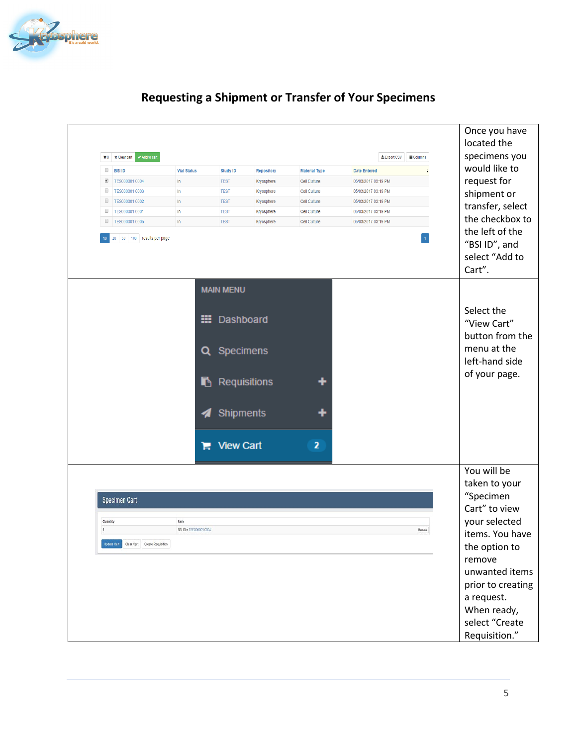

| would like to<br>$\Box$<br><b>BSI ID</b><br><b>Vial Status</b><br><b>Date Entered</b><br><b>Study ID</b><br><b>Repository</b><br><b>Material Type</b><br>request for<br>$\blacktriangledown$<br>TES000001 0004<br>In<br><b>TEST</b><br>05/03/2017 03:19 PM<br>Kryosphere<br>Cell Culture<br>0<br>TES000001 0003<br>In<br><b>TEST</b><br>Kryosphere<br>Cell Culture<br>05/03/2017 03:19 PM<br>shipment or<br>$\Box$<br>TES000001 0002<br>$\ln$<br><b>TEST</b><br>Kryosphere<br>Cell Culture<br>05/03/2017 03:19 PM<br>transfer, select<br>$\Box$<br>TES000001 0001<br><b>TEST</b><br>05/03/2017 03:19 PM<br>In<br>Kryosphere<br>Cell Culture<br>the checkbox to<br>$\qquad \qquad \Box$<br>TES000001 0005<br>In<br><b>TEST</b><br>Kryosphere<br>Cell Culture<br>05/03/2017 03:19 PM<br>the left of the<br>$20\degree$<br>50<br>100 results per page<br>$10-10$<br>"BSI ID", and<br>select "Add to<br>Cart".<br><b>MAIN MENU</b><br>Select the<br>▦<br>Dashboard<br>"View Cart"<br>button from the<br>menu at the<br>Q<br>Specimens<br>left-hand side<br>of your page.<br>Requisitions<br>Ŋ<br>Shipments | $\mathbb{F}^0$ <b>x</b> Clear cart | $\blacktriangleright$ Add to cart |                         |                  |                         | ≛ Export CSV<br><b>E</b> Columns | Once you have<br>located the<br>specimens you |  |
|--------------------------------------------------------------------------------------------------------------------------------------------------------------------------------------------------------------------------------------------------------------------------------------------------------------------------------------------------------------------------------------------------------------------------------------------------------------------------------------------------------------------------------------------------------------------------------------------------------------------------------------------------------------------------------------------------------------------------------------------------------------------------------------------------------------------------------------------------------------------------------------------------------------------------------------------------------------------------------------------------------------------------------------------------------------------------------------------------------|------------------------------------|-----------------------------------|-------------------------|------------------|-------------------------|----------------------------------|-----------------------------------------------|--|
|                                                                                                                                                                                                                                                                                                                                                                                                                                                                                                                                                                                                                                                                                                                                                                                                                                                                                                                                                                                                                                                                                                        |                                    |                                   |                         |                  |                         |                                  |                                               |  |
|                                                                                                                                                                                                                                                                                                                                                                                                                                                                                                                                                                                                                                                                                                                                                                                                                                                                                                                                                                                                                                                                                                        |                                    |                                   |                         |                  |                         |                                  |                                               |  |
|                                                                                                                                                                                                                                                                                                                                                                                                                                                                                                                                                                                                                                                                                                                                                                                                                                                                                                                                                                                                                                                                                                        |                                    |                                   |                         |                  |                         |                                  |                                               |  |
|                                                                                                                                                                                                                                                                                                                                                                                                                                                                                                                                                                                                                                                                                                                                                                                                                                                                                                                                                                                                                                                                                                        |                                    |                                   |                         |                  |                         |                                  |                                               |  |
|                                                                                                                                                                                                                                                                                                                                                                                                                                                                                                                                                                                                                                                                                                                                                                                                                                                                                                                                                                                                                                                                                                        |                                    |                                   |                         |                  |                         |                                  |                                               |  |
|                                                                                                                                                                                                                                                                                                                                                                                                                                                                                                                                                                                                                                                                                                                                                                                                                                                                                                                                                                                                                                                                                                        |                                    |                                   |                         |                  |                         |                                  |                                               |  |
|                                                                                                                                                                                                                                                                                                                                                                                                                                                                                                                                                                                                                                                                                                                                                                                                                                                                                                                                                                                                                                                                                                        |                                    |                                   | н                       | <b>View Cart</b> | $\overline{\mathbf{z}}$ |                                  |                                               |  |
|                                                                                                                                                                                                                                                                                                                                                                                                                                                                                                                                                                                                                                                                                                                                                                                                                                                                                                                                                                                                                                                                                                        |                                    |                                   |                         |                  |                         |                                  | You will be                                   |  |
|                                                                                                                                                                                                                                                                                                                                                                                                                                                                                                                                                                                                                                                                                                                                                                                                                                                                                                                                                                                                                                                                                                        |                                    |                                   |                         |                  |                         |                                  |                                               |  |
| taken to your                                                                                                                                                                                                                                                                                                                                                                                                                                                                                                                                                                                                                                                                                                                                                                                                                                                                                                                                                                                                                                                                                          |                                    |                                   |                         |                  |                         |                                  |                                               |  |
| "Specimen<br>Specimen Cart                                                                                                                                                                                                                                                                                                                                                                                                                                                                                                                                                                                                                                                                                                                                                                                                                                                                                                                                                                                                                                                                             |                                    |                                   |                         |                  |                         |                                  |                                               |  |
| Cart" to view                                                                                                                                                                                                                                                                                                                                                                                                                                                                                                                                                                                                                                                                                                                                                                                                                                                                                                                                                                                                                                                                                          | Quantity                           |                                   | Item                    |                  |                         |                                  |                                               |  |
|                                                                                                                                                                                                                                                                                                                                                                                                                                                                                                                                                                                                                                                                                                                                                                                                                                                                                                                                                                                                                                                                                                        |                                    |                                   | BSI ID = TES000001 0004 |                  |                         | Remare                           |                                               |  |
| your selected                                                                                                                                                                                                                                                                                                                                                                                                                                                                                                                                                                                                                                                                                                                                                                                                                                                                                                                                                                                                                                                                                          |                                    |                                   |                         |                  |                         |                                  |                                               |  |
|                                                                                                                                                                                                                                                                                                                                                                                                                                                                                                                                                                                                                                                                                                                                                                                                                                                                                                                                                                                                                                                                                                        |                                    |                                   |                         |                  |                         |                                  |                                               |  |
| Update Cart   Clear Cart   Create Requisition<br>the option to                                                                                                                                                                                                                                                                                                                                                                                                                                                                                                                                                                                                                                                                                                                                                                                                                                                                                                                                                                                                                                         |                                    |                                   |                         |                  |                         |                                  |                                               |  |
| remove                                                                                                                                                                                                                                                                                                                                                                                                                                                                                                                                                                                                                                                                                                                                                                                                                                                                                                                                                                                                                                                                                                 |                                    |                                   |                         |                  |                         |                                  |                                               |  |
|                                                                                                                                                                                                                                                                                                                                                                                                                                                                                                                                                                                                                                                                                                                                                                                                                                                                                                                                                                                                                                                                                                        |                                    |                                   |                         |                  |                         |                                  |                                               |  |
|                                                                                                                                                                                                                                                                                                                                                                                                                                                                                                                                                                                                                                                                                                                                                                                                                                                                                                                                                                                                                                                                                                        |                                    |                                   |                         |                  |                         |                                  |                                               |  |
|                                                                                                                                                                                                                                                                                                                                                                                                                                                                                                                                                                                                                                                                                                                                                                                                                                                                                                                                                                                                                                                                                                        |                                    |                                   |                         |                  |                         |                                  |                                               |  |
| items. You have<br>unwanted items<br>prior to creating<br>a request.                                                                                                                                                                                                                                                                                                                                                                                                                                                                                                                                                                                                                                                                                                                                                                                                                                                                                                                                                                                                                                   |                                    |                                   |                         |                  |                         |                                  |                                               |  |
| When ready,                                                                                                                                                                                                                                                                                                                                                                                                                                                                                                                                                                                                                                                                                                                                                                                                                                                                                                                                                                                                                                                                                            |                                    |                                   |                         |                  |                         |                                  |                                               |  |
| select "Create                                                                                                                                                                                                                                                                                                                                                                                                                                                                                                                                                                                                                                                                                                                                                                                                                                                                                                                                                                                                                                                                                         |                                    |                                   |                         |                  |                         |                                  | Requisition."                                 |  |

## **Requesting a Shipment or Transfer of Your Specimens**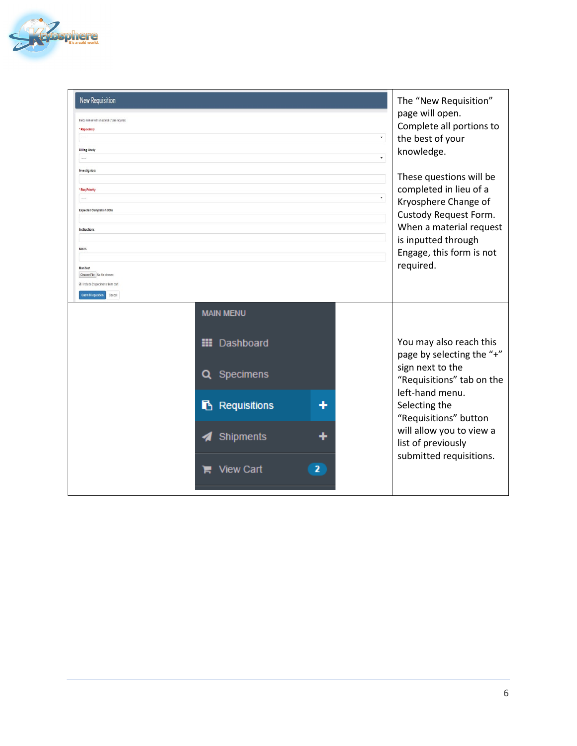

| <b>New Requisition</b><br>Fields marked with an asterisk (*) are required<br>Repository<br>11111<br><b>Billing Study</b>                                                                                             | $\star$<br>$\star$                                                                                                   |                                                                                                                                                                                                                                                 |  |  |  |
|----------------------------------------------------------------------------------------------------------------------------------------------------------------------------------------------------------------------|----------------------------------------------------------------------------------------------------------------------|-------------------------------------------------------------------------------------------------------------------------------------------------------------------------------------------------------------------------------------------------|--|--|--|
| Investigators<br><b>Req Priority</b><br><b>Expected Completion Date</b><br>Instructions<br><b>Notes</b><br>Manifest<br>Choose File No file chosen<br>E Include 2 specimens from cart<br>Submit Requisition<br>Cancel |                                                                                                                      | These questions will be<br>completed in lieu of a<br>$\pmb{\tau}$<br>Kryosphere Change of<br>Custody Request Form.<br>When a material request<br>is inputted through<br>Engage, this form is not<br>required.                                   |  |  |  |
|                                                                                                                                                                                                                      | <b>MAIN MENU</b><br>Dashboard<br>₩<br>Q Specimens<br>Requisitions<br>Shipments<br>$\overline{2}$<br><b>View Cart</b> | You may also reach this<br>page by selecting the "+"<br>sign next to the<br>"Requisitions" tab on the<br>left-hand menu.<br>Selecting the<br>"Requisitions" button<br>will allow you to view a<br>list of previously<br>submitted requisitions. |  |  |  |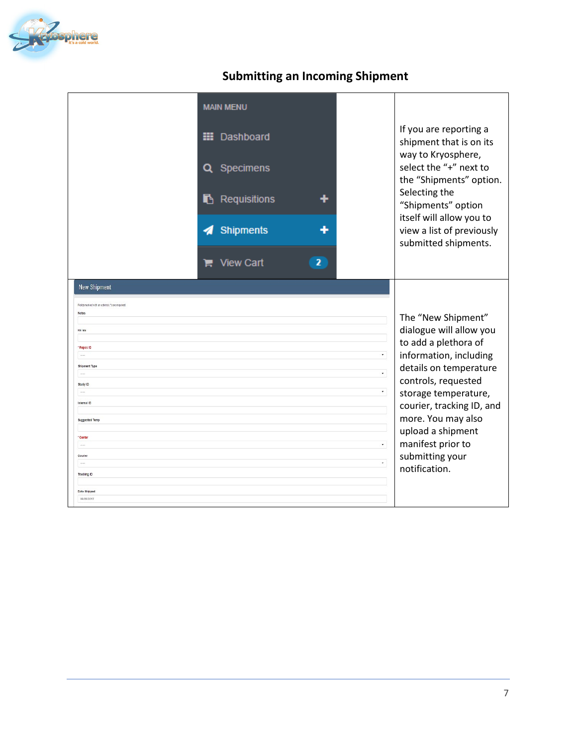

## **Submitting an Incoming Shipment**

|                                                                                                                                                                                                                                                                                                                                                 | <b>MAIN MENU</b><br><b>III</b> Dashboard<br>Specimens<br>Q<br>Requisitions<br>Shipments<br>◢<br>$\overline{2}$<br><b>View Cart</b><br>Е |                                                                      | If you are reporting a<br>shipment that is on its<br>way to Kryosphere,<br>select the "+" next to<br>the "Shipments" option.<br>Selecting the<br>"Shipments" option<br>itself will allow you to<br>view a list of previously<br>submitted shipments.                                                      |
|-------------------------------------------------------------------------------------------------------------------------------------------------------------------------------------------------------------------------------------------------------------------------------------------------------------------------------------------------|-----------------------------------------------------------------------------------------------------------------------------------------|----------------------------------------------------------------------|-----------------------------------------------------------------------------------------------------------------------------------------------------------------------------------------------------------------------------------------------------------------------------------------------------------|
| <b>New Shipment</b><br>Fields marked with an asterisk (*) are required<br>Notes<br>Kit Ids<br>* Repos ID<br><b>Shipment Type</b><br>$\frac{1}{2} \left( \frac{1}{2} \right) \left( \frac{1}{2} \right)$<br>Study ID<br><br>Internal ID<br><b>Suggested Temp</b><br>* Center<br>$\cdots$<br>Courier<br>Tracking ID<br>Date Shipped<br>05/05/2017 |                                                                                                                                         | $\bullet$<br>$\bullet$ .<br>$\mathbf{v}$ .<br>$\star$<br>$\bullet$ . | The "New Shipment"<br>dialogue will allow you<br>to add a plethora of<br>information, including<br>details on temperature<br>controls, requested<br>storage temperature,<br>courier, tracking ID, and<br>more. You may also<br>upload a shipment<br>manifest prior to<br>submitting your<br>notification. |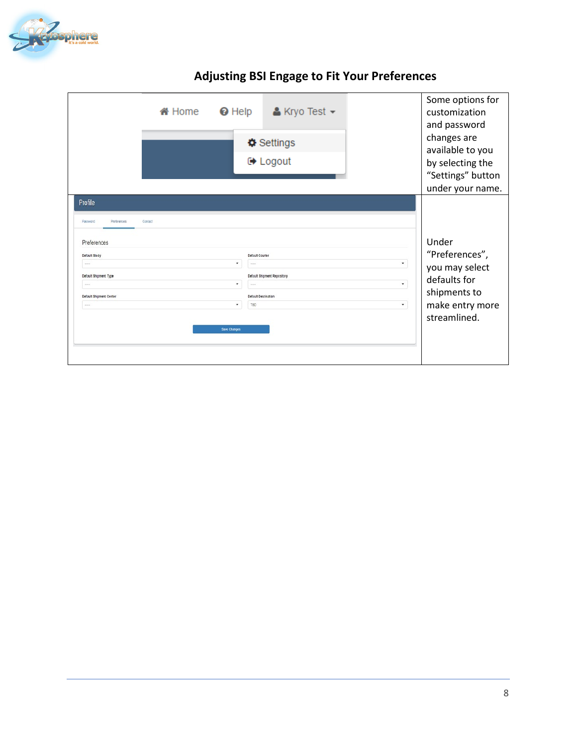

| <b>备 Home</b>                                                                                                                                                 | $\Theta$ Help<br>$\triangle$ Kryo Test $\sim$<br>Settings<br><b>■ Logout</b>                                                                            |              | Some options for<br>customization<br>and password<br>changes are<br>available to you<br>by selecting the<br>"Settings" button<br>under your name. |
|---------------------------------------------------------------------------------------------------------------------------------------------------------------|---------------------------------------------------------------------------------------------------------------------------------------------------------|--------------|---------------------------------------------------------------------------------------------------------------------------------------------------|
| Profile<br>Password<br>Preferences<br>Contact<br>Preferences<br>Default Study<br>Default Shipment Type<br>Default Shipment Center<br>$\cdots$<br>Save Changes | <b>Default Courier</b><br>$\pmb{\mathrm{v}}$<br><b>Default Shipment Repository</b><br>٠<br>13224<br><b>Default Destination</b><br>$\star$<br><b>TBD</b> | ۰<br>٠<br>۰. | Under<br>"Preferences",<br>you may select<br>defaults for<br>shipments to<br>make entry more<br>streamlined.                                      |

## **Adjusting BSI Engage to Fit Your Preferences**